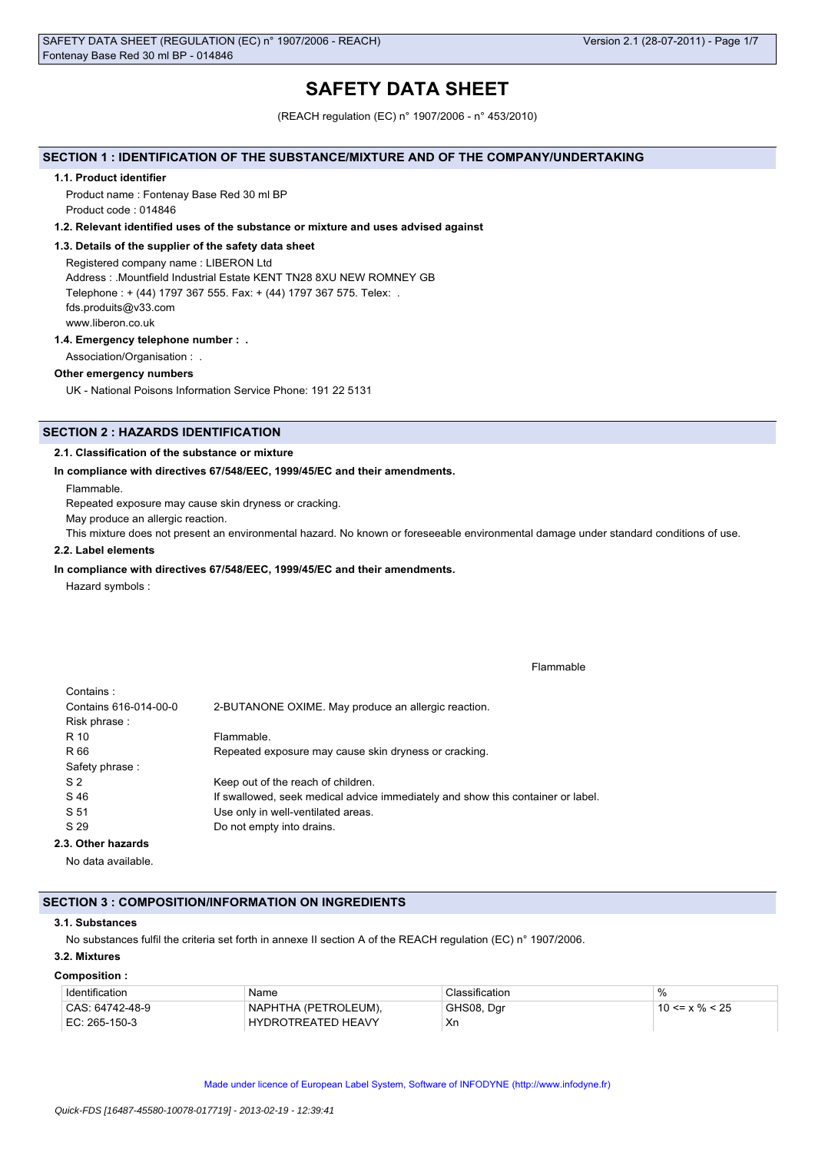# **SAFETY DATA SHEET**

(REACH regulation (EC) n° 1907/2006 - n° 453/2010)

## **SECTION 1 : IDENTIFICATION OF THE SUBSTANCE/MIXTURE AND OF THE COMPANY/UNDERTAKING**

#### **1.1. Product identifier**

Product name : Fontenay Base Red 30 ml BP Product code : 014846

#### **1.2. Relevant identified uses of the substance or mixture and uses advised against**

## **1.3. Details of the supplier of the safety data sheet**

Registered company name : LIBERON Ltd Address : .Mountfield Industrial Estate KENT TN28 8XU NEW ROMNEY GB Telephone : + (44) 1797 367 555. Fax: + (44) 1797 367 575. Telex: . fds.produits@v33.com www.liberon.co.uk

#### **1.4. Emergency telephone number : .**

Association/Organisation : .

#### **Other emergency numbers**

UK - National Poisons Information Service Phone: 191 22 5131

# **SECTION 2 : HAZARDS IDENTIFICATION**

## **2.1. Classification of the substance or mixture**

## **In compliance with directives 67/548/EEC, 1999/45/EC and their amendments.**

Flammable.

Repeated exposure may cause skin dryness or cracking.

May produce an allergic reaction.

This mixture does not present an environmental hazard. No known or foreseeable environmental damage under standard conditions of use.

## **2.2. Label elements**

## **In compliance with directives 67/548/EEC, 1999/45/EC and their amendments.**

Hazard symbols :

|  |  | Flammable |  |
|--|--|-----------|--|
|--|--|-----------|--|

| Contains:             |                                                                                 |
|-----------------------|---------------------------------------------------------------------------------|
| Contains 616-014-00-0 | 2-BUTANONE OXIME. May produce an allergic reaction.                             |
| Risk phrase:          |                                                                                 |
| R 10                  | Flammable.                                                                      |
| R 66                  | Repeated exposure may cause skin dryness or cracking.                           |
| Safety phrase:        |                                                                                 |
| S <sub>2</sub>        | Keep out of the reach of children.                                              |
| S 46                  | If swallowed, seek medical advice immediately and show this container or label. |
| S 51                  | Use only in well-ventilated areas.                                              |
| S 29                  | Do not empty into drains.                                                       |
| 2.3. Other hazards    |                                                                                 |

No data available.

## **SECTION 3 : COMPOSITION/INFORMATION ON INGREDIENTS**

#### **3.1. Substances**

No substances fulfil the criteria set forth in annexe II section A of the REACH regulation (EC) n° 1907/2006.

# **3.2. Mixtures**

#### **Composition :**

| Identification  | Name                      | Classification | %                    |
|-----------------|---------------------------|----------------|----------------------|
| CAS: 64742-48-9 | NAPHTHA (PETROLEUM).      | GHS08, Dgr     | $10 \le x \% \le 25$ |
| EC: 265-150-3   | <b>HYDROTREATED HEAVY</b> | Xr             |                      |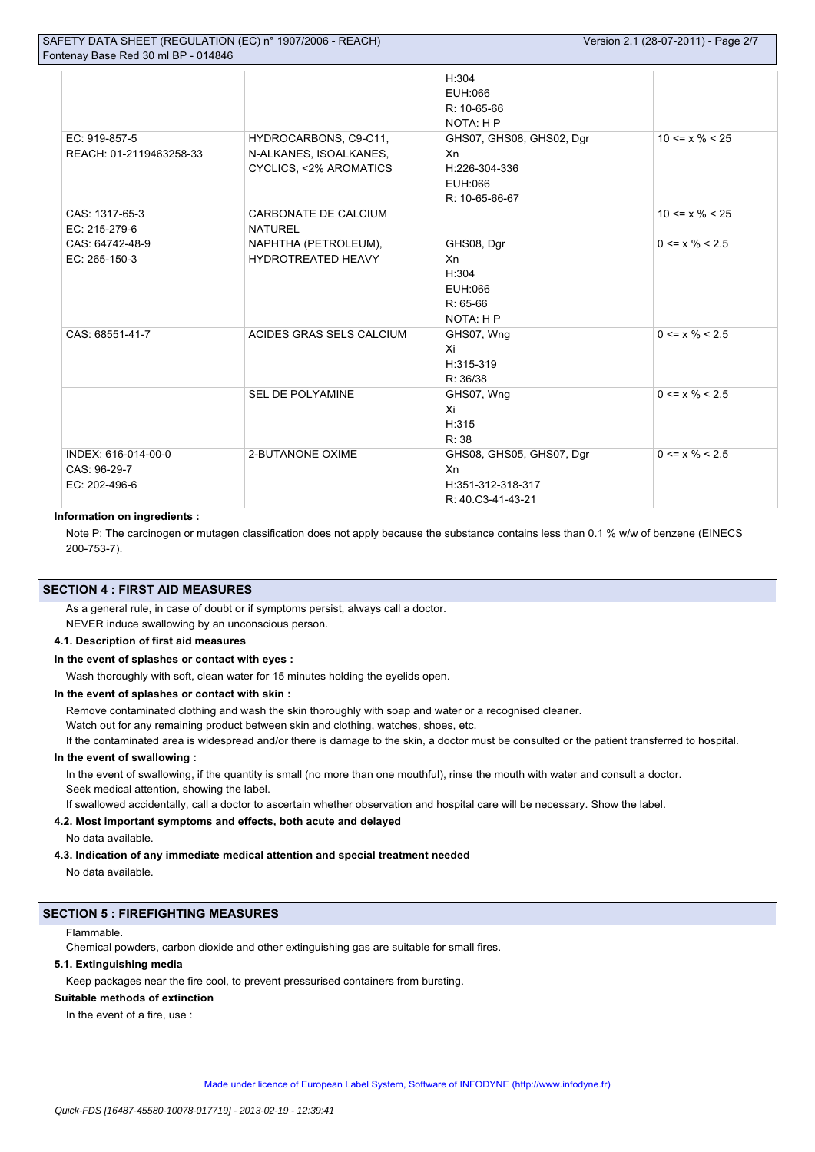| SAFETY DATA SHEET (REGULATION (EC) n° 1907/2006 - REACH)<br>Fontenay Base Red 30 ml BP - 014846 | Version 2.1 (28-07-2011) - Page 2/7 |                                              |                      |
|-------------------------------------------------------------------------------------------------|-------------------------------------|----------------------------------------------|----------------------|
|                                                                                                 |                                     | H:304<br>EUH:066<br>R: 10-65-66<br>NOTA: H P |                      |
| EC: 919-857-5                                                                                   | HYDROCARBONS, C9-C11,               | GHS07, GHS08, GHS02, Dgr                     | $10 \le x \% \le 25$ |

| EC: 919-857-5<br>REACH: 01-2119463258-33             | HYDROCARBONS, C9-C11,<br>N-ALKANES, ISOALKANES,<br>CYCLICS, <2% AROMATICS | GHS07, GHS08, GHS02, Dgr<br>Xn<br>H:226-304-336<br>EUH:066<br>R: 10-65-66-67 | $10 \le x \% \le 25$ |
|------------------------------------------------------|---------------------------------------------------------------------------|------------------------------------------------------------------------------|----------------------|
| CAS: 1317-65-3<br>EC: 215-279-6                      | CARBONATE DE CALCIUM<br><b>NATUREL</b>                                    |                                                                              | $10 \le x \% \le 25$ |
| CAS: 64742-48-9<br>EC: 265-150-3                     | NAPHTHA (PETROLEUM),<br>HYDROTREATED HEAVY                                | GHS08, Dgr<br>Xn<br>H:304<br>EUH:066<br>$R: 65-66$<br>NOTA: H P              | $0 \le x \% \le 2.5$ |
| CAS: 68551-41-7                                      | ACIDES GRAS SELS CALCIUM                                                  | GHS07, Wng<br>Xi<br>H:315-319<br>R: 36/38                                    | $0 \le x \% \le 2.5$ |
|                                                      | <b>SEL DE POLYAMINE</b>                                                   | GHS07, Wng<br>Xi<br>H:315<br>R: 38                                           | $0 \le x \% < 2.5$   |
| INDEX: 616-014-00-0<br>CAS: 96-29-7<br>EC: 202-496-6 | 2-BUTANONE OXIME                                                          | GHS08, GHS05, GHS07, Dgr<br>Xn<br>H:351-312-318-317<br>R: 40.C3-41-43-21     | $0 \le x \% \le 2.5$ |

### **Information on ingredients :**

Note P: The carcinogen or mutagen classification does not apply because the substance contains less than 0.1 % w/w of benzene (EINECS 200-753-7).

# **SECTION 4 : FIRST AID MEASURES**

As a general rule, in case of doubt or if symptoms persist, always call a doctor.

NEVER induce swallowing by an unconscious person.

# **4.1. Description of first aid measures**

### **In the event of splashes or contact with eyes :**

Wash thoroughly with soft, clean water for 15 minutes holding the evelids open.

### **In the event of splashes or contact with skin :**

Remove contaminated clothing and wash the skin thoroughly with soap and water or a recognised cleaner.

Watch out for any remaining product between skin and clothing, watches, shoes, etc.

If the contaminated area is widespread and/or there is damage to the skin, a doctor must be consulted or the patient transferred to hospital.

## **In the event of swallowing :**

In the event of swallowing, if the quantity is small (no more than one mouthful), rinse the mouth with water and consult a doctor. Seek medical attention, showing the label.

If swallowed accidentally, call a doctor to ascertain whether observation and hospital care will be necessary. Show the label.

## **4.2. Most important symptoms and effects, both acute and delayed**

No data available.

## **4.3. Indication of any immediate medical attention and special treatment needed**

No data available.

# **SECTION 5 : FIREFIGHTING MEASURES**

# Flammable.

Chemical powders, carbon dioxide and other extinguishing gas are suitable for small fires.

# **5.1. Extinguishing media**

Keep packages near the fire cool, to prevent pressurised containers from bursting.

# **Suitable methods of extinction**

In the event of a fire, use :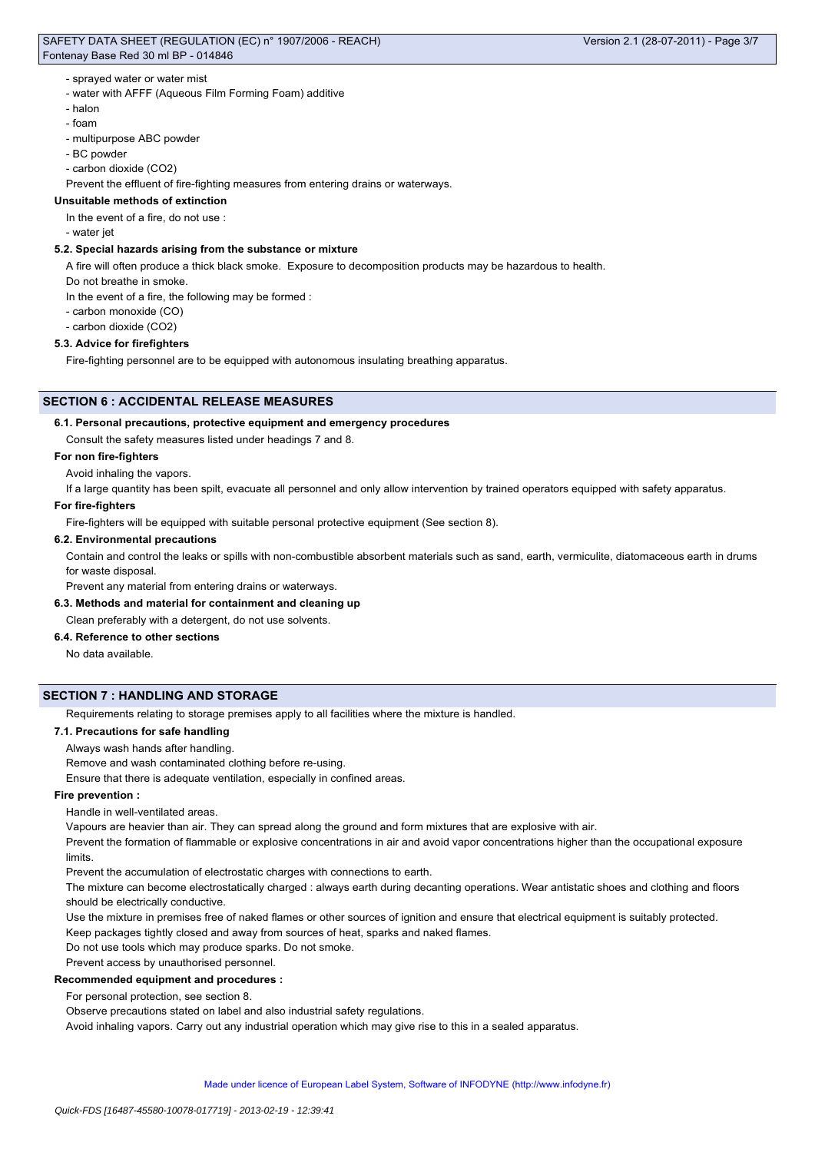## SAFETY DATA SHEET (REGULATION (EC) n° 1907/2006 - REACH) Fontenay Base Red 30 ml BP - 014846

# - sprayed water or water mist

- water with AFFF (Aqueous Film Forming Foam) additive
- halon
- foam
- multipurpose ABC powder
- BC powder
- carbon dioxide (CO2)
- Prevent the effluent of fire-fighting measures from entering drains or waterways.

# **Unsuitable methods of extinction**

In the event of a fire, do not use :

- water jet

# **5.2. Special hazards arising from the substance or mixture**

A fire will often produce a thick black smoke. Exposure to decomposition products may be hazardous to health.

Do not breathe in smoke.

In the event of a fire, the following may be formed :

- carbon monoxide (CO)
- carbon dioxide (CO2)

## **5.3. Advice for firefighters**

Fire-fighting personnel are to be equipped with autonomous insulating breathing apparatus.

## **SECTION 6 : ACCIDENTAL RELEASE MEASURES**

## **6.1. Personal precautions, protective equipment and emergency procedures**

Consult the safety measures listed under headings 7 and 8.

## **For non fire-fighters**

Avoid inhaling the vapors.

If a large quantity has been spilt, evacuate all personnel and only allow intervention by trained operators equipped with safety apparatus.

## **For fire-fighters**

Fire-fighters will be equipped with suitable personal protective equipment (See section 8).

## **6.2. Environmental precautions**

Contain and control the leaks or spills with non-combustible absorbent materials such as sand, earth, vermiculite, diatomaceous earth in drums for waste disposal.

Prevent any material from entering drains or waterways.

## **6.3. Methods and material for containment and cleaning up**

## Clean preferably with a detergent, do not use solvents.

# **6.4. Reference to other sections**

No data available.

# **SECTION 7 : HANDLING AND STORAGE**

Requirements relating to storage premises apply to all facilities where the mixture is handled.

## **7.1. Precautions for safe handling**

Always wash hands after handling.

Remove and wash contaminated clothing before re-using.

Ensure that there is adequate ventilation, especially in confined areas.

## **Fire prevention :**

Handle in well-ventilated areas.

Vapours are heavier than air. They can spread along the ground and form mixtures that are explosive with air.

Prevent the formation of flammable or explosive concentrations in air and avoid vapor concentrations higher than the occupational exposure limits.

Prevent the accumulation of electrostatic charges with connections to earth.

The mixture can become electrostatically charged : always earth during decanting operations. Wear antistatic shoes and clothing and floors should be electrically conductive.

Use the mixture in premises free of naked flames or other sources of ignition and ensure that electrical equipment is suitably protected.

Keep packages tightly closed and away from sources of heat, sparks and naked flames.

Do not use tools which may produce sparks. Do not smoke.

# Prevent access by unauthorised personnel.

# **Recommended equipment and procedures :**

For personal protection, see section 8.

Observe precautions stated on label and also industrial safety regulations.

Avoid inhaling vapors. Carry out any industrial operation which may give rise to this in a sealed apparatus.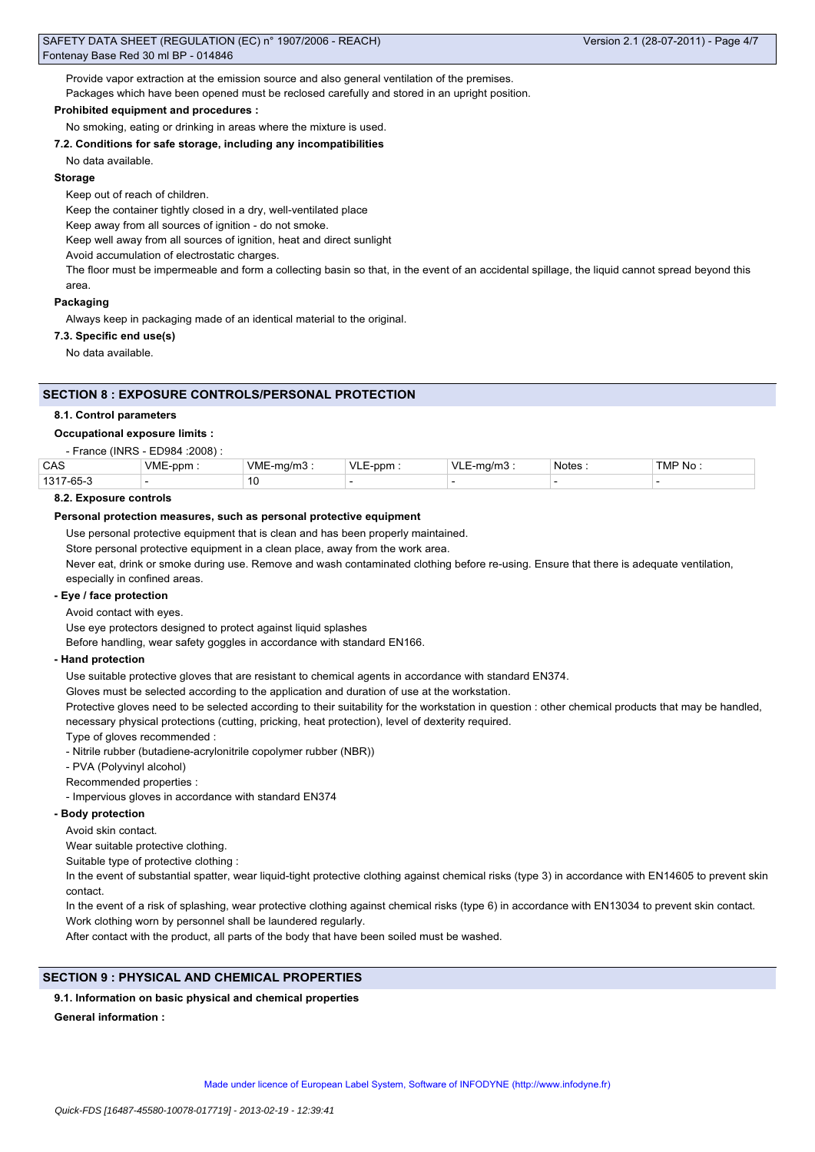Provide vapor extraction at the emission source and also general ventilation of the premises.

Packages which have been opened must be reclosed carefully and stored in an upright position.

# **Prohibited equipment and procedures :**

No smoking, eating or drinking in areas where the mixture is used.

## **7.2. Conditions for safe storage, including any incompatibilities**

## No data available.

## **Storage**

Keep out of reach of children.

Keep the container tightly closed in a dry, well-ventilated place

Keep away from all sources of ignition - do not smoke.

Keep well away from all sources of ignition, heat and direct sunlight

Avoid accumulation of electrostatic charges.

The floor must be impermeable and form a collecting basin so that, in the event of an accidental spillage, the liquid cannot spread beyond this area.

## **Packaging**

Always keep in packaging made of an identical material to the original.

## **7.3. Specific end use(s)**

No data available.

## **SECTION 8 : EXPOSURE CONTROLS/PERSONAL PROTECTION**

#### **8.1. Control parameters**

#### **Occupational exposure limits :**

- France (INRS - ED984 :2008) :

| CAS                | <b>VME</b><br>ppm | VME<br>ma/m | $\sqrt{ }$<br>-nnr | \/I | <b>Notes</b> | TMP No |
|--------------------|-------------------|-------------|--------------------|-----|--------------|--------|
| 1317<br>$7 - 65 -$ |                   | 10          |                    |     |              |        |

### **8.2. Exposure controls**

### **Personal protection measures, such as personal protective equipment**

Use personal protective equipment that is clean and has been properly maintained.

Store personal protective equipment in a clean place, away from the work area.

Never eat, drink or smoke during use. Remove and wash contaminated clothing before re-using. Ensure that there is adequate ventilation,

especially in confined areas.

## **- Eye / face protection**

Avoid contact with eyes.

Use eye protectors designed to protect against liquid splashes

Before handling, wear safety goggles in accordance with standard EN166.

#### **- Hand protection**

Use suitable protective gloves that are resistant to chemical agents in accordance with standard EN374.

Gloves must be selected according to the application and duration of use at the workstation.

Protective gloves need to be selected according to their suitability for the workstation in question : other chemical products that may be handled, necessary physical protections (cutting, pricking, heat protection), level of dexterity required.

Type of gloves recommended :

- Nitrile rubber (butadiene-acrylonitrile copolymer rubber (NBR))
- PVA (Polyvinyl alcohol)

Recommended properties :

- Impervious gloves in accordance with standard EN374

# **- Body protection**

Avoid skin contact.

Wear suitable protective clothing.

Suitable type of protective clothing :

In the event of substantial spatter, wear liquid-tight protective clothing against chemical risks (type 3) in accordance with EN14605 to prevent skin contact.

In the event of a risk of splashing, wear protective clothing against chemical risks (type 6) in accordance with EN13034 to prevent skin contact. Work clothing worn by personnel shall be laundered regularly.

After contact with the product, all parts of the body that have been soiled must be washed.

## **SECTION 9 : PHYSICAL AND CHEMICAL PROPERTIES**

## **9.1. Information on basic physical and chemical properties**

**General information :**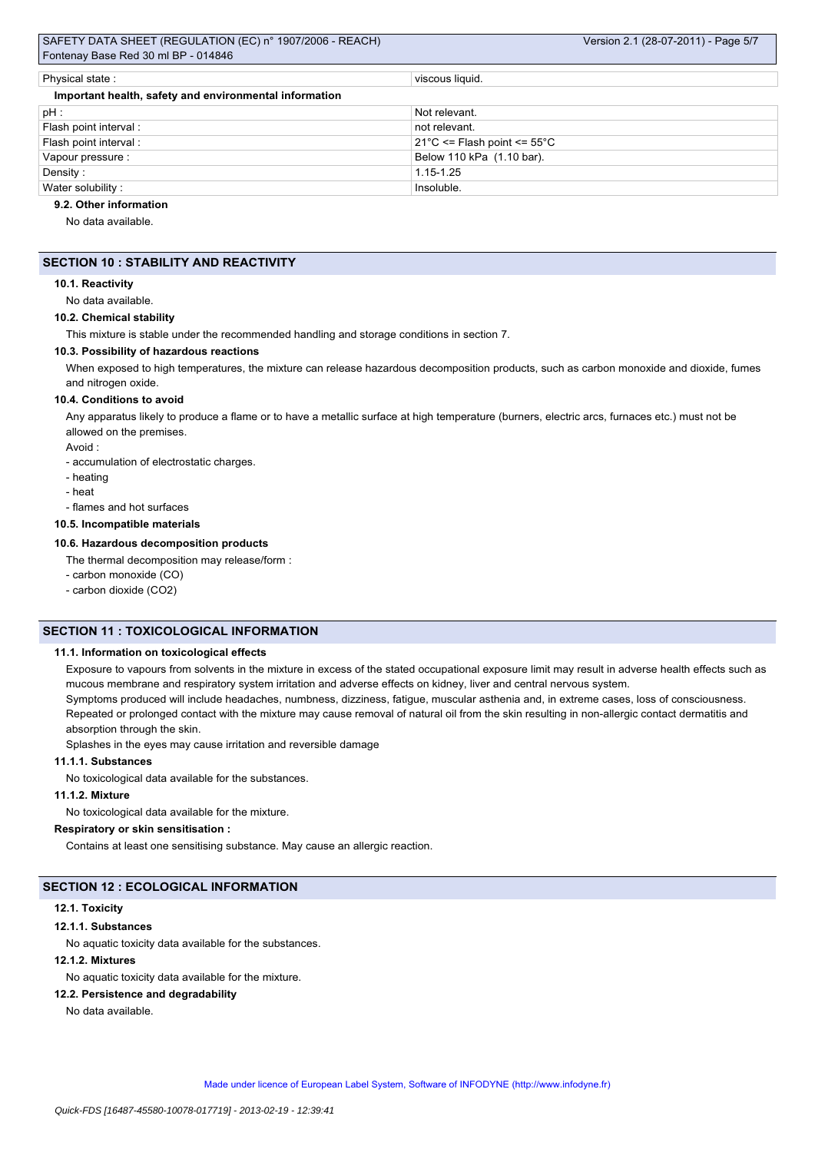# SAFETY DATA SHEET (REGULATION (EC) n° 1907/2006 - REACH) Fontenay Base Red 30 ml BP - 014846

| Physical state:                                        | viscous liquid.                                  |
|--------------------------------------------------------|--------------------------------------------------|
| Important health, safety and environmental information |                                                  |
| $pH$ :                                                 | Not relevant.                                    |
| Flash point interval :                                 | not relevant.                                    |
| Flash point interval:                                  | $21^{\circ}$ C <= Flash point <= 55 $^{\circ}$ C |
| Vapour pressure :                                      | Below 110 kPa (1.10 bar).                        |
| Density:                                               | 1.15-1.25                                        |
| Water solubility:                                      | Insoluble.                                       |

## **9.2. Other information**

No data available.

# **SECTION 10 : STABILITY AND REACTIVITY**

#### **10.1. Reactivity**

No data available.

#### **10.2. Chemical stability**

This mixture is stable under the recommended handling and storage conditions in section 7.

### **10.3. Possibility of hazardous reactions**

When exposed to high temperatures, the mixture can release hazardous decomposition products, such as carbon monoxide and dioxide, fumes and nitrogen oxide.

#### **10.4. Conditions to avoid**

Any apparatus likely to produce a flame or to have a metallic surface at high temperature (burners, electric arcs, furnaces etc.) must not be allowed on the premises.

Avoid :

- accumulation of electrostatic charges.
- heating
- heat
- flames and hot surfaces

### **10.5. Incompatible materials**

## **10.6. Hazardous decomposition products**

The thermal decomposition may release/form :

- carbon monoxide (CO)

- carbon dioxide (CO2)

# **SECTION 11 : TOXICOLOGICAL INFORMATION**

#### **11.1. Information on toxicological effects**

Exposure to vapours from solvents in the mixture in excess of the stated occupational exposure limit may result in adverse health effects such as mucous membrane and respiratory system irritation and adverse effects on kidney, liver and central nervous system. Symptoms produced will include headaches, numbness, dizziness, fatigue, muscular asthenia and, in extreme cases, loss of consciousness. Repeated or prolonged contact with the mixture may cause removal of natural oil from the skin resulting in non-allergic contact dermatitis and absorption through the skin.

Splashes in the eyes may cause irritation and reversible damage

#### **11.1.1. Substances**

No toxicological data available for the substances.

## **11.1.2. Mixture**

No toxicological data available for the mixture.

# **Respiratory or skin sensitisation :**

Contains at least one sensitising substance. May cause an allergic reaction.

### **SECTION 12 : ECOLOGICAL INFORMATION**

# **12.1. Toxicity**

# **12.1.1. Substances**

No aquatic toxicity data available for the substances.

# **12.1.2. Mixtures**

No aquatic toxicity data available for the mixture.

# **12.2. Persistence and degradability**

No data available.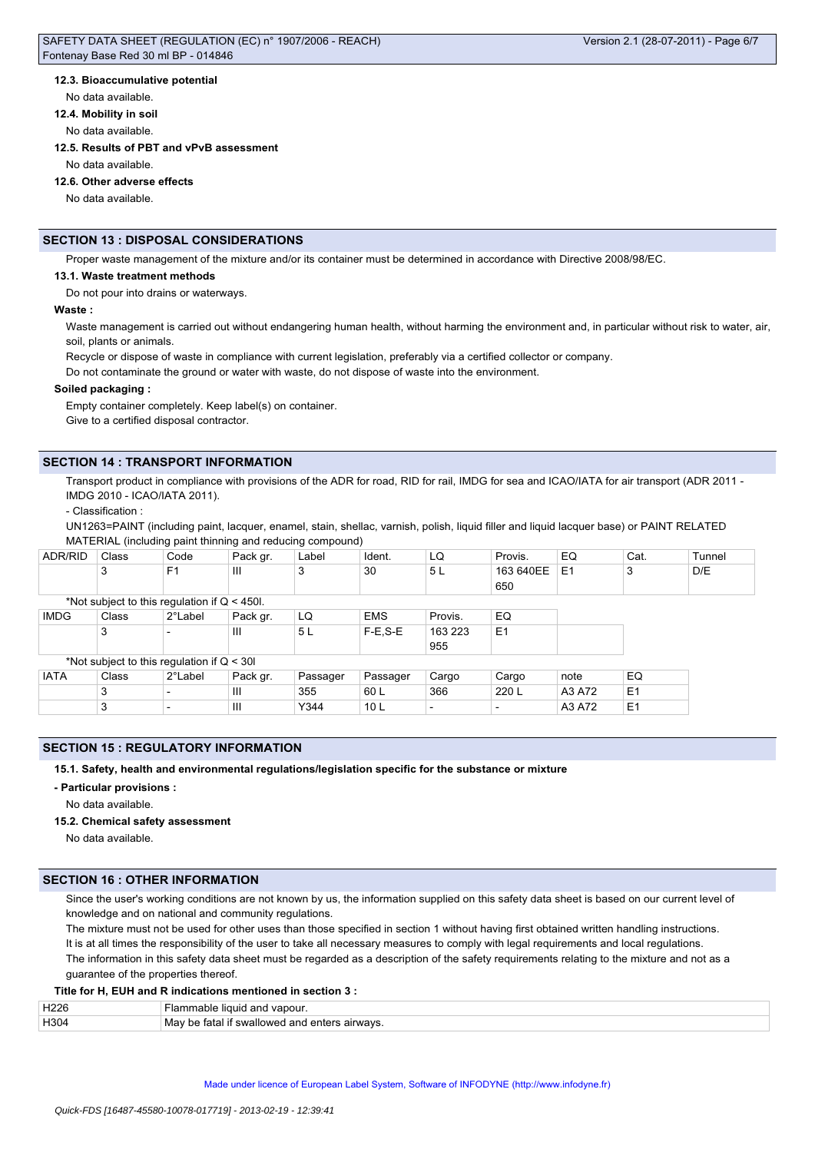## **12.3. Bioaccumulative potential**

No data available.

**12.4. Mobility in soil**

No data available.

#### **12.5. Results of PBT and vPvB assessment**

No data available.

#### **12.6. Other adverse effects**

No data available.

# **SECTION 13 : DISPOSAL CONSIDERATIONS**

Proper waste management of the mixture and/or its container must be determined in accordance with Directive 2008/98/EC.

#### **13.1. Waste treatment methods**

Do not pour into drains or waterways.

#### **Waste :**

Waste management is carried out without endangering human health, without harming the environment and, in particular without risk to water, air, soil, plants or animals.

Recycle or dispose of waste in compliance with current legislation, preferably via a certified collector or company.

Do not contaminate the ground or water with waste, do not dispose of waste into the environment.

#### **Soiled packaging :**

Empty container completely. Keep label(s) on container.

Give to a certified disposal contractor.

# **SECTION 14 : TRANSPORT INFORMATION**

Transport product in compliance with provisions of the ADR for road, RID for rail, IMDG for sea and ICAO/IATA for air transport (ADR 2011 -IMDG 2010 - ICAO/IATA 2011).

- Classification :

UN1263=PAINT (including paint, lacquer, enamel, stain, shellac, varnish, polish, liquid filler and liquid lacquer base) or PAINT RELATED MATERIAL (including paint thinning and reducing compound)

| ADR/RID     | Class                                          | Code           | Pack gr. | Label    | Ident.          | LQ             | Provis.                  | EQ             | Cat.           | Tunnel |
|-------------|------------------------------------------------|----------------|----------|----------|-----------------|----------------|--------------------------|----------------|----------------|--------|
|             | 3                                              | F <sub>1</sub> | Ш        | 3        | 30              | 5L             | 163 640EE                | E <sub>1</sub> | 3              | D/E    |
|             |                                                |                |          |          |                 |                | 650                      |                |                |        |
|             | *Not subject to this regulation if $Q < 450$ . |                |          |          |                 |                |                          |                |                |        |
| <b>IMDG</b> | Class                                          | 2°Label        | Pack gr. | LQ       | <b>EMS</b>      | Provis.        | EQ                       |                |                |        |
|             | 3                                              |                | Ш        | 5L       | $F-E.S-E$       | 163 223<br>955 | E <sub>1</sub>           |                |                |        |
|             | *Not subject to this regulation if $Q < 30I$   |                |          |          |                 |                |                          |                |                |        |
| <b>IATA</b> | Class                                          | 2°Label        | Pack gr. | Passager | Passager        | Cargo          | Cargo                    | note           | EQ             |        |
|             | 3                                              |                | Ш        | 355      | 60 L            | 366            | 220 L                    | A3 A72         | E <sub>1</sub> |        |
|             | 3                                              |                | III      | Y344     | 10 <sub>L</sub> |                | $\overline{\phantom{0}}$ | A3 A72         | E1             |        |

## **SECTION 15 : REGULATORY INFORMATION**

**15.1. Safety, health and environmental regulations/legislation specific for the substance or mixture**

**- Particular provisions :**

No data available.

## **15.2. Chemical safety assessment**

No data available.

## **SECTION 16 : OTHER INFORMATION**

Since the user's working conditions are not known by us, the information supplied on this safety data sheet is based on our current level of knowledge and on national and community regulations.

The mixture must not be used for other uses than those specified in section 1 without having first obtained written handling instructions. It is at all times the responsibility of the user to take all necessary measures to comply with legal requirements and local regulations. The information in this safety data sheet must be regarded as a description of the safety requirements relating to the mixture and not as a guarantee of the properties thereof.

## **Title for H, EUH and R indications mentioned in section 3 :**

| H226             | e liquid and vapour.<br><b>Flammable</b>           |
|------------------|----------------------------------------------------|
| H <sub>304</sub> | ∀ be fatal if swallowed and enters airwavs.<br>Mav |